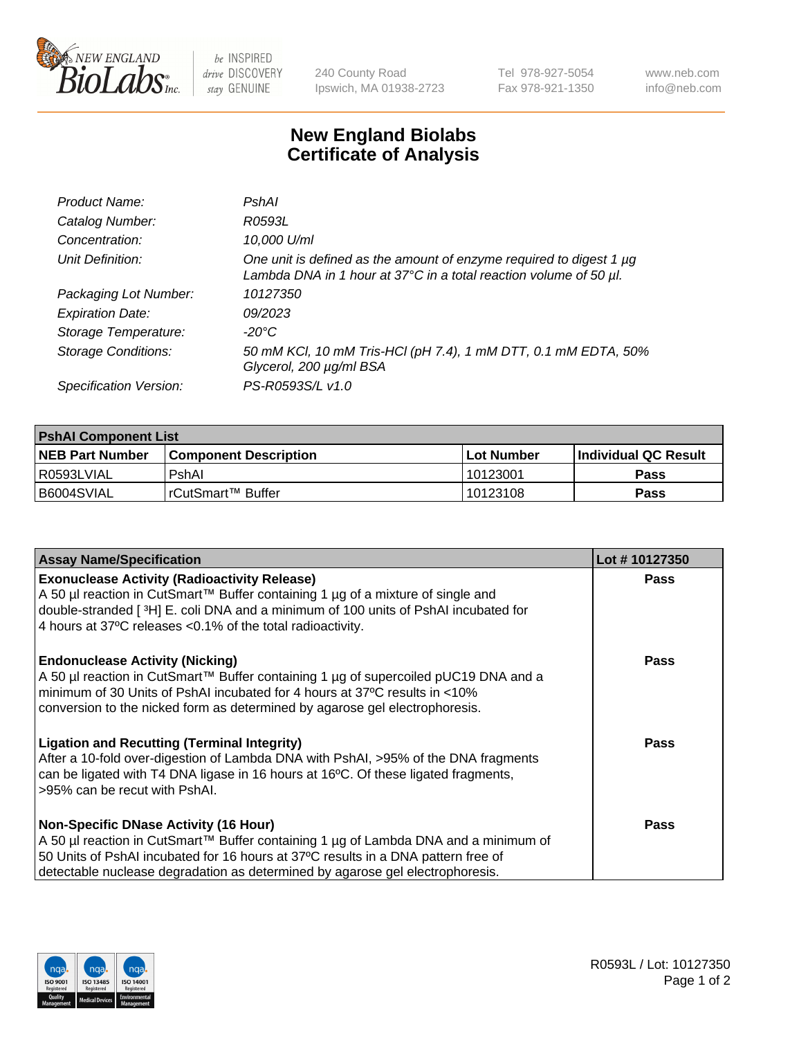

be INSPIRED drive DISCOVERY stay GENUINE

240 County Road Ipswich, MA 01938-2723 Tel 978-927-5054 Fax 978-921-1350

www.neb.com info@neb.com

## **New England Biolabs Certificate of Analysis**

| Product Name:              | PshAl                                                                                                                                    |
|----------------------------|------------------------------------------------------------------------------------------------------------------------------------------|
| Catalog Number:            | R0593L                                                                                                                                   |
| Concentration:             | 10,000 U/ml                                                                                                                              |
| Unit Definition:           | One unit is defined as the amount of enzyme required to digest 1 µg<br>Lambda DNA in 1 hour at 37°C in a total reaction volume of 50 µl. |
| Packaging Lot Number:      | 10127350                                                                                                                                 |
| <b>Expiration Date:</b>    | 09/2023                                                                                                                                  |
| Storage Temperature:       | -20°C                                                                                                                                    |
| <b>Storage Conditions:</b> | 50 mM KCl, 10 mM Tris-HCl (pH 7.4), 1 mM DTT, 0.1 mM EDTA, 50%<br>Glycerol, 200 µg/ml BSA                                                |
| Specification Version:     | PS-R0593S/L v1.0                                                                                                                         |

| <b>PshAI Component List</b> |                         |              |                             |  |
|-----------------------------|-------------------------|--------------|-----------------------------|--|
| <b>NEB Part Number</b>      | l Component Description | l Lot Number | <b>Individual QC Result</b> |  |
| I R0593LVIAL                | PshAl                   | 10123001     | Pass                        |  |
| B6004SVIAL                  | l rCutSmart™ Buffer_    | 10123108     | Pass                        |  |

| <b>Assay Name/Specification</b>                                                                                                                                                                                                                                                                           | Lot #10127350 |
|-----------------------------------------------------------------------------------------------------------------------------------------------------------------------------------------------------------------------------------------------------------------------------------------------------------|---------------|
| <b>Exonuclease Activity (Radioactivity Release)</b><br>A 50 µl reaction in CutSmart™ Buffer containing 1 µg of a mixture of single and<br>double-stranded [3H] E. coli DNA and a minimum of 100 units of PshAI incubated for<br>4 hours at 37°C releases < 0.1% of the total radioactivity.               | <b>Pass</b>   |
| <b>Endonuclease Activity (Nicking)</b><br>A 50 µl reaction in CutSmart™ Buffer containing 1 µg of supercoiled pUC19 DNA and a<br>minimum of 30 Units of PshAI incubated for 4 hours at 37°C results in <10%<br>conversion to the nicked form as determined by agarose gel electrophoresis.                | <b>Pass</b>   |
| <b>Ligation and Recutting (Terminal Integrity)</b><br>After a 10-fold over-digestion of Lambda DNA with PshAI, >95% of the DNA fragments<br>can be ligated with T4 DNA ligase in 16 hours at 16°C. Of these ligated fragments,<br>>95% can be recut with PshAI.                                           | <b>Pass</b>   |
| <b>Non-Specific DNase Activity (16 Hour)</b><br>A 50 µl reaction in CutSmart™ Buffer containing 1 µg of Lambda DNA and a minimum of<br>50 Units of PshAI incubated for 16 hours at 37°C results in a DNA pattern free of<br>detectable nuclease degradation as determined by agarose gel electrophoresis. | Pass          |